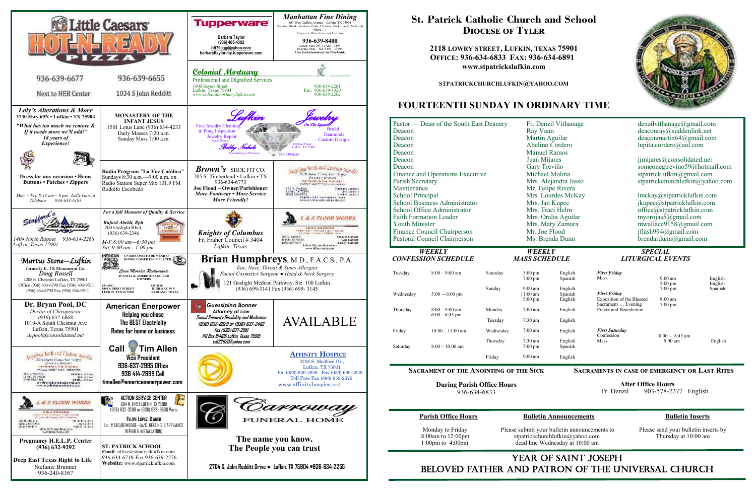

# YEAR OF SAINT JOSEPH beloved father AND Patron of the Universal Church

 Monday to Friday Please submit your bulletin announcements to Please send your bulletin inserts by 8:00am to 12:00pm stpatrickchurchlufkin@yahoo.com Thursday at 10:00 am 1:00pm to 4:00pm dead line Wednesday at 10:00 am dead line Wednesday at 10:00 am



# **St. Patrick Catholic Church and School Diocese of Tyler**

**2118 LOWRY STREET, LUFKIN, TEXAS 75901 OFFICE: 936-634-6833 FAX: 936-634-6891 www.stpatrickslufkin.com** 

**STPATRICKCHURCHLUFKIN@YAHOO.COM**

# **FOURTEENTH SUNDAY IN ORDINARY TIME**

# **Parish Office Hours Bulletin Announcements Bulletin Inserts**

| Pastor — Dean of the South East Deanery |                            |           | Fr. Denzil Vithanage           |                    | denzilvithanage@gmail.com                        |                               |                    |
|-----------------------------------------|----------------------------|-----------|--------------------------------|--------------------|--------------------------------------------------|-------------------------------|--------------------|
| Deacon                                  |                            |           | Ray Vann                       |                    | deaconray@suddenlink.net                         |                               |                    |
| Deacon                                  |                            |           | Martin Aguilar                 |                    | deaconmartin $64@g$ mail.com                     |                               |                    |
| Deacon                                  |                            |           | Abelino Cordero                |                    |                                                  | lupita.cordero@aol.com        |                    |
| Deacon                                  |                            |           | <b>Manuel Ramos</b>            |                    |                                                  |                               |                    |
| Deacon                                  |                            |           | Juan Mijares                   |                    | jjmijares@consolidated.net                       |                               |                    |
| Deacon                                  |                            |           | Gary Treviño                   |                    | someonegtrevino59@hotmail.com                    |                               |                    |
| Finance and Operations Executive        |                            |           | Michael Molina                 |                    | stpatricklufkin@gmail.com                        |                               |                    |
| Parish Secretary                        |                            |           | Mrs. Alejandra Jasso           |                    | stpatrickchurchlufkin@yahoo.com                  |                               |                    |
| Maintenance                             |                            |           |                                | Mr. Felipe Rivera  |                                                  |                               |                    |
| <b>School Principal</b>                 |                            |           | Mrs. Lourdes McKay             |                    | lmckay@stpatricklufkin.com                       |                               |                    |
| <b>School Business Administrator</b>    |                            |           | Mrs. Jan Kupec                 |                    | jkupec@stpatricklufkin.com                       |                               |                    |
| School Office Administrator             |                            |           | Mrs. Traci Helm                |                    | office@stpatricklufkin.com                       |                               |                    |
| <b>Faith Formation Leader</b>           |                            |           | Mrs. Oralia Aguilar            |                    | myorojas5@gmail.com                              |                               |                    |
| <b>Youth Minister</b>                   |                            |           | Mrs. Mary Zamora               |                    | mwallace9158@gmail.com                           |                               |                    |
| Finance Council Chairperson             |                            |           | Mr. Joe Flood                  |                    | jflash994@gmail.com                              |                               |                    |
| Pastoral Council Chairperson            |                            |           | Ms. Brenda Dunn                |                    | $b$ rendardunn@gmail.com                         |                               |                    |
|                                         |                            |           |                                |                    |                                                  |                               |                    |
| <b>WEEKLY</b>                           |                            |           | WEEKLY                         |                    | <b>SPECIAL</b>                                   |                               |                    |
|                                         |                            |           |                                |                    |                                                  |                               |                    |
|                                         | <b>CONFESSION SCHEDULE</b> |           | <b>MASS SCHEDULE</b>           |                    |                                                  | <b>LITURGICAL EVENTS</b>      |                    |
| Tuesday                                 | $8:00 - 9:00$ am           | Saturday  | $5:00 \text{ pm}$              | English            | <b>First Friday</b><br>Mass                      | $9:00$ am                     |                    |
|                                         |                            |           | $7:00 \text{ pm}$              | Spanish            |                                                  | $5:00 \text{ pm}$             | English<br>English |
|                                         |                            | Sunday    | $9:00 \text{ am}$              | English            |                                                  | $7:00 \text{ pm}$             | Spanish            |
| Wednesday                               | $5:00 - 6:00$ pm           |           | $11:00$ am                     | Spanish            | <b>First Friday</b><br>Exposition of the Blessed | 8:00 am                       |                    |
|                                         |                            |           | $5:00 \text{ pm}$              | English            | Sacrament  Evening                               | $7:00 \text{ pm}$             |                    |
| Thursday                                | $8:00 - 9:00$ am           | Monday    | $7:00$ am                      | English            | Prayer and Benediction                           |                               |                    |
|                                         | $6:00 - 6:45$ pm           | Tuesday   | $7:30$ am                      | English            |                                                  |                               |                    |
| Friday                                  | $10:00 - 11:00$ am         | Wednesday | $7:00$ am                      | English            | <b>First Saturday</b>                            |                               |                    |
|                                         |                            | Thursday  | 7:30 am                        | English            | Confession<br>Mass                               | $8:00 - 8:45$ am<br>$9:00$ am | English            |
| Saturday                                | $8:00 - 10:00$ am          | Friday    | $7:00 \text{ pm}$<br>$9:00$ am | Spanish<br>English |                                                  |                               |                    |

**During Parish Office Hours**  936-634-6833

 **After Office Hours**  Fr. Denzil 903-578-2277 English